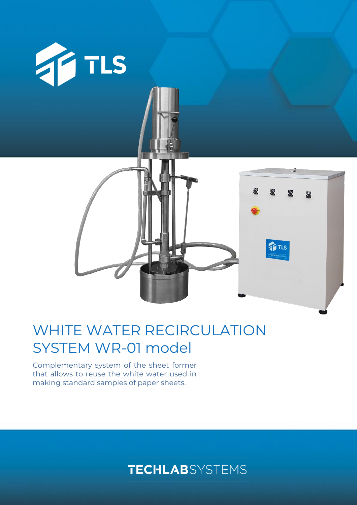

# WHITE WATER RECIRCULATION SYSTEM WR-01 model

Complementary system of the sheet former that allows to reuse the white water used in making standard samples of paper sheets.

## **TECHLAB**SYSTEMS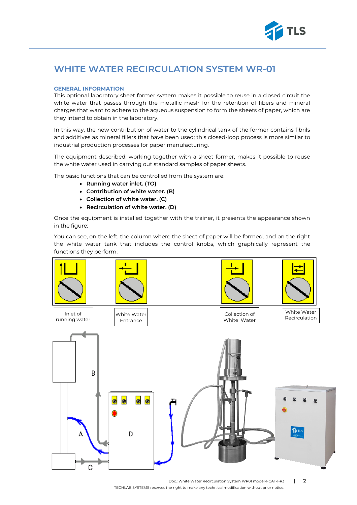

## **WHITE WATER RECIRCULATION SYSTEM WR-01**

#### **GENERAL INFORMATION**

This optional laboratory sheet former system makes it possible to reuse in a closed circuit the white water that passes through the metallic mesh for the retention of fibers and mineral charges that want to adhere to the aqueous suspension to form the sheets of paper, which are they intend to obtain in the laboratory.

In this way, the new contribution of water to the cylindrical tank of the former contains fibrils and additives as mineral fillers that have been used; this closed-loop process is more similar to industrial production processes for paper manufacturing.

The equipment described, working together with a sheet former, makes it possible to reuse the white water used in carrying out standard samples of paper sheets.

The basic functions that can be controlled from the system are:

- **Running water inlet. (TO)**
- **Contribution of white water. (B)**
- **Collection of white water. (C)**
- **Recirculation of white water. (D)**

Once the equipment is installed together with the trainer, it presents the appearance shown in the figure:

You can see, on the left, the column where the sheet of paper will be formed, and on the right the white water tank that includes the control knobs, which graphically represent the functions they perform: